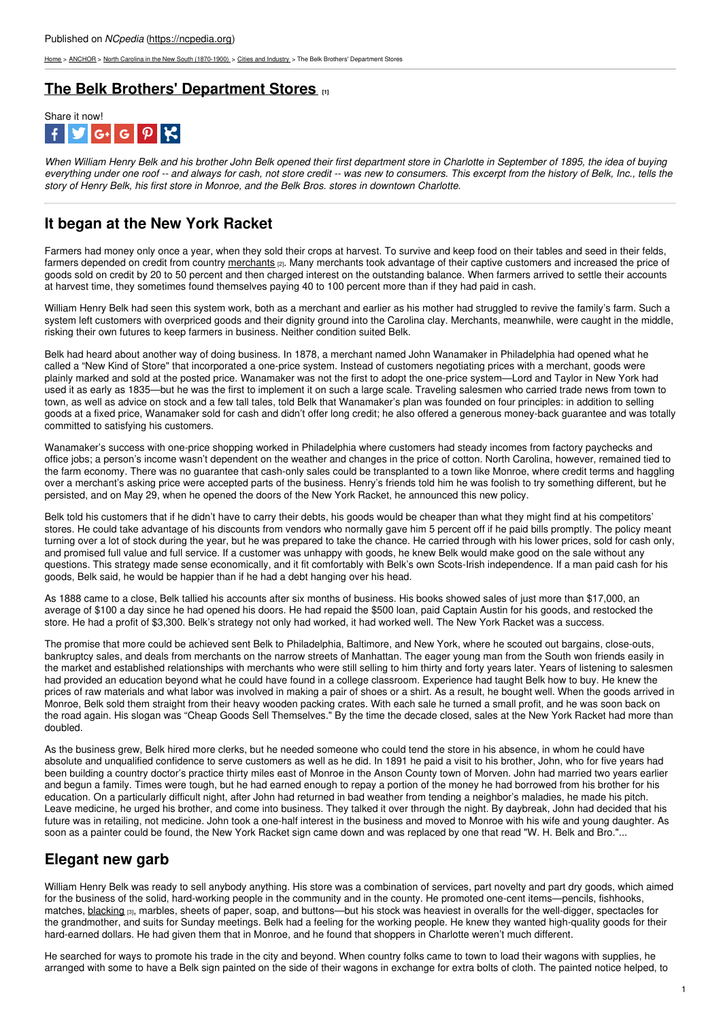[Home](https://ncpedia.org/) > [ANCHOR](https://ncpedia.org/anchor/anchor) > North Carolina in the New South [\(1870-1900\)](https://ncpedia.org/anchor/north-carolina-new-south) > Cities and [Industry](https://ncpedia.org/anchor/cities-and-industry) > The Belk Brothers' Department Stores

### **The Belk Brothers' [Department](https://ncpedia.org/anchor/belk-brothers-department) Stores [1]**



When William Henry Belk and his brother John Belk opened their first department store in Charlotte in September of 1895, the idea of buying everything under one roof -- and always for cash, not store credit -- was new to consumers. This excerpt from the history of Belk, Inc., tells the *story of Henry Belk, his first store in Monroe, and the Belk Bros. stores in downtown Charlotte.*

# **It began at the New York Racket**

Farmers had money only once a year, when they sold their crops at harvest. To survive and keep food on their tables and seed in their felds, farmers depended on credit from country [merchants](https://ncpedia.org/glossary/merchant) [2]. Many merchants took advantage of their captive customers and increased the price of goods sold on credit by 20 to 50 percent and then charged interest on the outstanding balance. When farmers arrived to settle their accounts at harvest time, they sometimes found [themselves](http://www.social9.com) paying 40 to 100 percent more than if they had paid in cash.

William Henry Belk had seen this system work, both as a merchant and earlier as his mother had struggled to revive the family's farm. Such a system left customers with overpriced goods and their dignity ground into the Carolina clay. Merchants, meanwhile, were caught in the middle, risking their own futures to keep farmers in business. Neither condition suited Belk.

Belk had heard about another way of doing business. In 1878, a merchant named John Wanamaker in Philadelphia had opened what he called a "New Kind of Store" that incorporated a one-price system. Instead of customers negotiating prices with a merchant, goods were plainly marked and sold at the posted price. Wanamaker was not the first to adopt the one-price system—Lord and Taylor in New York had used it as early as 1835—but he was the first to implement it on such a large scale. Traveling salesmen who carried trade news from town to town, as well as advice on stock and a few tall tales, told Belk that Wanamaker's plan was founded on four principles: in addition to selling goods at a fixed price, Wanamaker sold for cash and didn't offer long credit; he also offered a generous money-back guarantee and was totally committed to satisfying his customers.

Wanamaker's success with one-price shopping worked in Philadelphia where customers had steady incomes from factory paychecks and office jobs; a person's income wasn't dependent on the weather and changes in the price of cotton. North Carolina, however, remained tied to the farm economy. There was no guarantee that cash-only sales could be transplanted to a town like Monroe, where credit terms and haggling over a merchant's asking price were accepted parts of the business. Henry's friends told him he was foolish to try something different, but he persisted, and on May 29, when he opened the doors of the New York Racket, he announced this new policy.

Belk told his customers that if he didn't have to carry their debts, his goods would be cheaper than what they might find at his competitors' stores. He could take advantage of his discounts from vendors who normally gave him 5 percent off if he paid bills promptly. The policy meant turning over a lot of stock during the year, but he was prepared to take the chance. He carried through with his lower prices, sold for cash only, and promised full value and full service. If a customer was unhappy with goods, he knew Belk would make good on the sale without any questions. This strategy made sense economically, and it fit comfortably with Belk's own Scots-Irish independence. If a man paid cash for his goods, Belk said, he would be happier than if he had a debt hanging over his head.

As 1888 came to a close, Belk tallied his accounts after six months of business. His books showed sales of just more than \$17,000, an average of \$100 a day since he had opened his doors. He had repaid the \$500 loan, paid Captain Austin for his goods, and restocked the store. He had a profit of \$3,300. Belk's strategy not only had worked, it had worked well. The New York Racket was a success.

The promise that more could be achieved sent Belk to Philadelphia, Baltimore, and New York, where he scouted out bargains, close-outs, bankruptcy sales, and deals from merchants on the narrow streets of Manhattan. The eager young man from the South won friends easily in the market and established relationships with merchants who were still selling to him thirty and forty years later. Years of listening to salesmen had provided an education beyond what he could have found in a college classroom. Experience had taught Belk how to buy. He knew the prices of raw materials and what labor was involved in making a pair of shoes or a shirt. As a result, he bought well. When the goods arrived in Monroe, Belk sold them straight from their heavy wooden packing crates. With each sale he turned a small profit, and he was soon back on the road again. His slogan was "Cheap Goods Sell Themselves." By the time the decade closed, sales at the New York Racket had more than doubled.

As the business grew, Belk hired more clerks, but he needed someone who could tend the store in his absence, in whom he could have absolute and unqualified confidence to serve customers as well as he did. In 1891 he paid a visit to his brother, John, who for five years had been building a country doctor's practice thirty miles east of Monroe in the Anson County town of Morven. John had married two years earlier and begun a family. Times were tough, but he had earned enough to repay a portion of the money he had borrowed from his brother for his education. On a particularly difficult night, after John had returned in bad weather from tending a neighbor's maladies, he made his pitch. Leave medicine, he urged his brother, and come into business. They talked it over through the night. By daybreak, John had decided that his future was in retailing, not medicine. John took a one-half interest in the business and moved to Monroe with his wife and young daughter. As soon as a painter could be found, the New York Racket sign came down and was replaced by one that read "W. H. Belk and Bro."...

## **Elegant new garb**

William Henry Belk was ready to sell anybody anything. His store was a combination of services, part novelty and part dry goods, which aimed for the business of the solid, hard-working people in the community and in the county. He promoted one-cent items—pencils, fishhooks, matches, [blacking](https://ncpedia.org/glossary/blacking) [3], marbles, sheets of paper, soap, and buttons—but his stock was heaviest in overalls for the well-digger, spectacles for the grandmother, and suits for Sunday meetings. Belk had a feeling for the working people. He knew they wanted high-quality goods for their hard-earned dollars. He had given them that in Monroe, and he found that shoppers in Charlotte weren't much different.

He searched for ways to promote his trade in the city and beyond. When country folks came to town to load their wagons with supplies, he arranged with some to have a Belk sign painted on the side of their wagons in exchange for extra bolts of cloth. The painted notice helped, to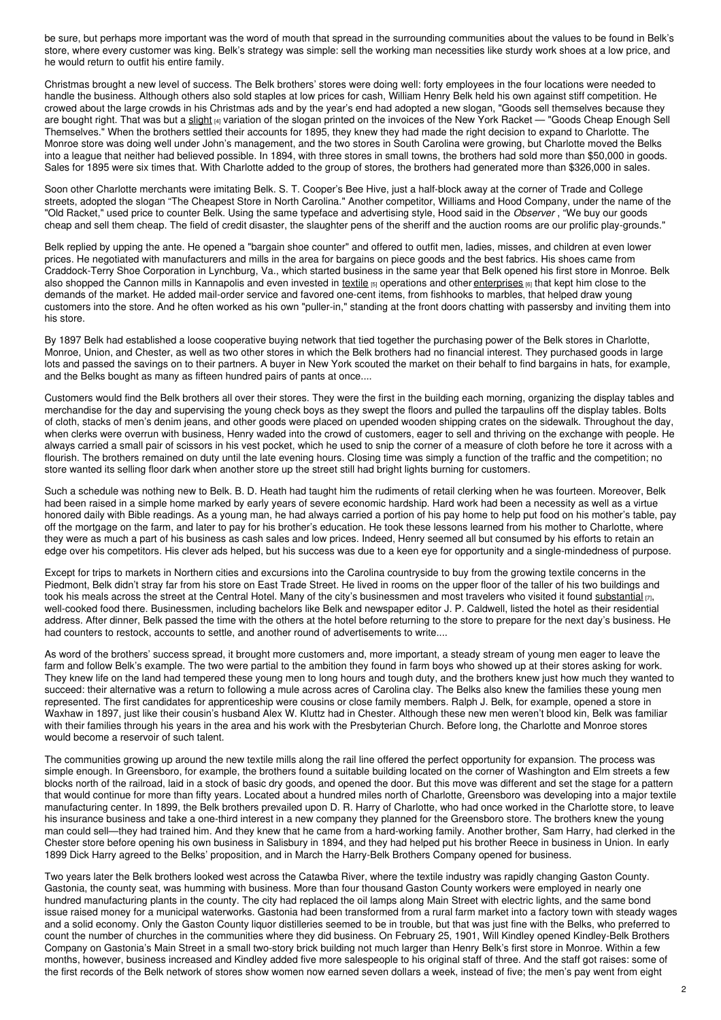be sure, but perhaps more important was the word of mouth that spread in the surrounding communities about the values to be found in Belk's store, where every customer was king. Belk's strategy was simple: sell the working man necessities like sturdy work shoes at a low price, and he would return to outfit his entire family.

Christmas brought a new level of success. The Belk brothers' stores were doing well: forty employees in the four locations were needed to handle the business. Although others also sold staples at low prices for cash, William Henry Belk held his own against stiff competition. He crowed about the large crowds in his Christmas ads and by the year's end had adopted a new slogan, "Goods sell themselves because they are bought right. That was but a [slight](https://ncpedia.org/glossary/slight) [4] variation of the slogan printed on the invoices of the New York Racket — "Goods Cheap Enough Sell Themselves." When the brothers settled their accounts for 1895, they knew they had made the right decision to expand to Charlotte. The Monroe store was doing well under John's management, and the two stores in South Carolina were growing, but Charlotte moved the Belks into a league that neither had believed possible. In 1894, with three stores in small towns, the brothers had sold more than \$50,000 in goods. Sales for 1895 were six times that. With Charlotte added to the group of stores, the brothers had generated more than \$326,000 in sales.

Soon other Charlotte merchants were imitating Belk. S. T. Cooper's Bee Hive, just a half-block away at the corner of Trade and College streets, adopted the slogan "The Cheapest Store in North Carolina." Another competitor, Williams and Hood Company, under the name of the "Old Racket," used price to counter Belk. Using the same typeface and advertising style, Hood said in the *Observer* , "We buy our goods cheap and sell them cheap. The field of credit disaster, the slaughter pens of the sheriff and the auction rooms are our prolific play-grounds."

Belk replied by upping the ante. He opened a "bargain shoe counter" and offered to outfit men, ladies, misses, and children at even lower prices. He negotiated with manufacturers and mills in the area for bargains on piece goods and the best fabrics. His shoes came from Craddock-Terry Shoe Corporation in Lynchburg, Va., which started business in the same year that Belk opened his first store in Monroe. Belk also shopped the Cannon mills in Kannapolis and even invested in [textile](https://ncpedia.org/glossary/textile) [5] operations and other [enterprises](https://ncpedia.org/glossary/enterprise) [6] that kept him close to the demands of the market. He added mail-order service and favored one-cent items, from fishhooks to marbles, that helped draw young customers into the store. And he often worked as his own "puller-in," standing at the front doors chatting with passersby and inviting them into his store.

By 1897 Belk had established a loose cooperative buying network that tied together the purchasing power of the Belk stores in Charlotte, Monroe, Union, and Chester, as well as two other stores in which the Belk brothers had no financial interest. They purchased goods in large lots and passed the savings on to their partners. A buyer in New York scouted the market on their behalf to find bargains in hats, for example, and the Belks bought as many as fifteen hundred pairs of pants at once....

Customers would find the Belk brothers all over their stores. They were the first in the building each morning, organizing the display tables and merchandise for the day and supervising the young check boys as they swept the floors and pulled the tarpaulins off the display tables. Bolts of cloth, stacks of men's denim jeans, and other goods were placed on upended wooden shipping crates on the sidewalk. Throughout the day, when clerks were overrun with business, Henry waded into the crowd of customers, eager to sell and thriving on the exchange with people. He always carried a small pair of scissors in his vest pocket, which he used to snip the corner of a measure of cloth before he tore it across with a flourish. The brothers remained on duty until the late evening hours. Closing time was simply a function of the traffic and the competition; no store wanted its selling floor dark when another store up the street still had bright lights burning for customers.

Such a schedule was nothing new to Belk. B. D. Heath had taught him the rudiments of retail clerking when he was fourteen. Moreover, Belk had been raised in a simple home marked by early years of severe economic hardship. Hard work had been a necessity as well as a virtue honored daily with Bible readings. As a young man, he had always carried a portion of his pay home to help put food on his mother's table, pay off the mortgage on the farm, and later to pay for his brother's education. He took these lessons learned from his mother to Charlotte, where they were as much a part of his business as cash sales and low prices. Indeed, Henry seemed all but consumed by his efforts to retain an edge over his competitors. His clever ads helped, but his success was due to a keen eye for opportunity and a single-mindedness of purpose.

Except for trips to markets in Northern cities and excursions into the Carolina countryside to buy from the growing textile concerns in the Piedmont, Belk didn't stray far from his store on East Trade Street. He lived in rooms on the upper floor of the taller of his two buildings and took his meals across the street at the Central Hotel. Many of the city's businessmen and most travelers who visited it found [substantial](https://ncpedia.org/glossary/substantial) [7], well-cooked food there. Businessmen, including bachelors like Belk and newspaper editor J. P. Caldwell, listed the hotel as their residential address. After dinner, Belk passed the time with the others at the hotel before returning to the store to prepare for the next day's business. He had counters to restock, accounts to settle, and another round of advertisements to write....

As word of the brothers' success spread, it brought more customers and, more important, a steady stream of young men eager to leave the farm and follow Belk's example. The two were partial to the ambition they found in farm boys who showed up at their stores asking for work. They knew life on the land had tempered these young men to long hours and tough duty, and the brothers knew just how much they wanted to succeed: their alternative was a return to following a mule across acres of Carolina clay. The Belks also knew the families these young men represented. The first candidates for apprenticeship were cousins or close family members. Ralph J. Belk, for example, opened a store in Waxhaw in 1897, just like their cousin's husband Alex W. Kluttz had in Chester. Although these new men weren't blood kin, Belk was familiar with their families through his years in the area and his work with the Presbyterian Church. Before long, the Charlotte and Monroe stores would become a reservoir of such talent.

The communities growing up around the new textile mills along the rail line offered the perfect opportunity for expansion. The process was simple enough. In Greensboro, for example, the brothers found a suitable building located on the corner of Washington and Elm streets a few blocks north of the railroad, laid in a stock of basic dry goods, and opened the door. But this move was different and set the stage for a pattern that would continue for more than fifty years. Located about a hundred miles north of Charlotte, Greensboro was developing into a major textile manufacturing center. In 1899, the Belk brothers prevailed upon D. R. Harry of Charlotte, who had once worked in the Charlotte store, to leave his insurance business and take a one-third interest in a new company they planned for the Greensboro store. The brothers knew the young man could sell—they had trained him. And they knew that he came from a hard-working family. Another brother, Sam Harry, had clerked in the Chester store before opening his own business in Salisbury in 1894, and they had helped put his brother Reece in business in Union. In early 1899 Dick Harry agreed to the Belks' proposition, and in March the Harry-Belk Brothers Company opened for business.

Two years later the Belk brothers looked west across the Catawba River, where the textile industry was rapidly changing Gaston County. Gastonia, the county seat, was humming with business. More than four thousand Gaston County workers were employed in nearly one hundred manufacturing plants in the county. The city had replaced the oil lamps along Main Street with electric lights, and the same bond issue raised money for a municipal waterworks. Gastonia had been transformed from a rural farm market into a factory town with steady wages and a solid economy. Only the Gaston County liquor distilleries seemed to be in trouble, but that was just fine with the Belks, who preferred to count the number of churches in the communities where they did business. On February 25, 1901, Will Kindley opened Kindley-Belk Brothers Company on Gastonia's Main Street in a small two-story brick building not much larger than Henry Belk's first store in Monroe. Within a few months, however, business increased and Kindley added five more salespeople to his original staff of three. And the staff got raises: some of the first records of the Belk network of stores show women now earned seven dollars a week, instead of five; the men's pay went from eight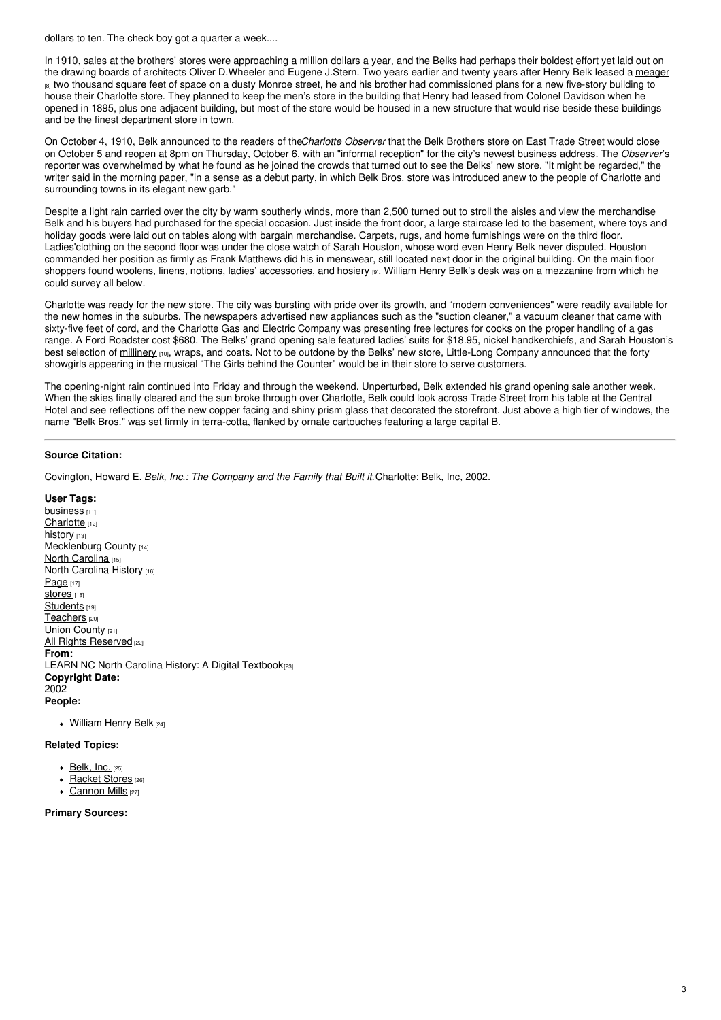dollars to ten. The check boy got a quarter a week....

In 1910, sales at the brothers' stores were approaching a million dollars a year, and the Belks had perhaps their boldest effort yet laid out on the drawing boards of architects Oliver D.Wheeler and Eugene J.Stern. Two years earlier and twenty years after Henry Belk leased a [meager](https://ncpedia.org/glossary/meager) <sup>[8]</sup> two thousand square feet of space on a dusty Monroe street, he and his brother had commissioned plans for a new five-story building to house their Charlotte store. They planned to keep the men's store in the building that Henry had leased from Colonel Davidson when he opened in 1895, plus one adjacent building, but most of the store would be housed in a new structure that would rise beside these buildings and be the finest department store in town.

On October 4, 1910, Belk announced to the readers of the*Charlotte Observer* that the Belk Brothers store on East Trade Street would close on October 5 and reopen at 8pm on Thursday, October 6, with an "informal reception" for the city's newest business address. The *Observer*'s reporter was overwhelmed by what he found as he joined the crowds that turned out to see the Belks' new store. "It might be regarded," the writer said in the morning paper, "in a sense as a debut party, in which Belk Bros. store was introduced anew to the people of Charlotte and surrounding towns in its elegant new garb."

Despite a light rain carried over the city by warm southerly winds, more than 2,500 turned out to stroll the aisles and view the merchandise Belk and his buyers had purchased for the special occasion. Just inside the front door, a large staircase led to the basement, where toys and holiday goods were laid out on tables along with bargain merchandise. Carpets, rugs, and home furnishings were on the third floor. Ladies'clothing on the second floor was under the close watch of Sarah Houston, whose word even Henry Belk never disputed. Houston commanded her position as firmly as Frank Matthews did his in menswear, still located next door in the original building. On the main floor shoppers found woolens, linens, notions, ladies' accessories, and [hosiery](https://ncpedia.org/glossary/hosiery) [9]. William Henry Belk's desk was on a mezzanine from which he could survey all below.

Charlotte was ready for the new store. The city was bursting with pride over its growth, and "modern conveniences" were readily available for the new homes in the suburbs. The newspapers advertised new appliances such as the "suction cleaner," a vacuum cleaner that came with sixty-five feet of cord, and the Charlotte Gas and Electric Company was presenting free lectures for cooks on the proper handling of a gas range. A Ford Roadster cost \$680. The Belks' grand opening sale featured ladies' suits for \$18.95, nickel handkerchiefs, and Sarah Houston's best selection of [millinery](https://ncpedia.org/glossary/millinery) <sub>[10]</sub>, wraps, and coats. Not to be outdone by the Belks' new store, Little-Long Company announced that the forty showgirls appearing in the musical "The Girls behind the Counter" would be in their store to serve customers.

The opening-night rain continued into Friday and through the weekend. Unperturbed, Belk extended his grand opening sale another week. When the skies finally cleared and the sun broke through over Charlotte, Belk could look across Trade Street from his table at the Central Hotel and see reflections off the new copper facing and shiny prism glass that decorated the storefront. Just above a high tier of windows, the name "Belk Bros." was set firmly in terra-cotta, flanked by ornate cartouches featuring a large capital B.

#### **Source Citation:**

Covington, Howard E. *Belk, Inc.: The Company and the Family that Built it.*Charlotte: Belk, Inc, 2002.

- **User Tags:** [business](https://ncpedia.org/category/user-tags/business) [11] [Charlotte](https://ncpedia.org/category/user-tags/charlotte) [12] [history](https://ncpedia.org/category/user-tags/history) [13] [Mecklenburg](https://ncpedia.org/category/user-tags/mecklenburg-0) County [14] North [Carolina](https://ncpedia.org/category/user-tags/north-carolina-5) [15] North [Carolina](https://ncpedia.org/category/user-tags/north-carolina-6) History [16] [Page](https://ncpedia.org/category/user-tags/page) [17] Stores<sub>[18]</sub> [Students](https://ncpedia.org/category/user-tags/students) [19] [Teachers](https://ncpedia.org/category/user-tags/teachers) [20] **Union [County](https://ncpedia.org/category/user-tags/union-county) [21]** All Rights [Reserved](https://ncpedia.org/category/user-tags/all-rights) [22] **From:** LEARN NC North Carolina History: A Digital [Textbook](https://ncpedia.org/category/entry-source/learn-nc)(23) **Copyright Date:** 2002 **People:**
	- [William](https://www.ncpedia.org/biography/belk-william-henry) Henry Belk [24]

#### **Related Topics:**

- $\bullet$  [Belk,](https://www.ncpedia.org/belk) Inc. [25]
- [Racket](https://www.ncpedia.org/racket-stores) Stores [26]
- [Cannon](https://www.ncpedia.org/cannon-mills) Mills [27]

### **Primary Sources:**